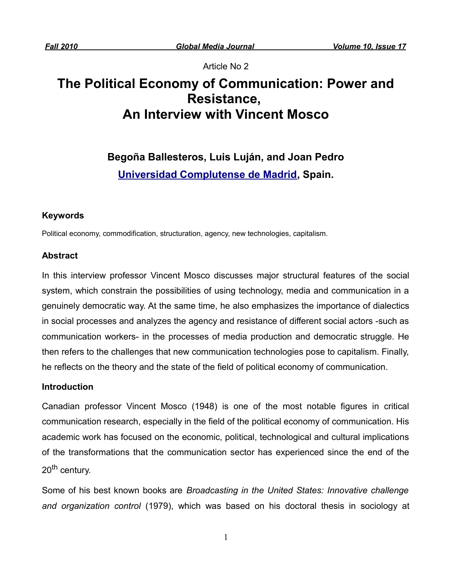Article No 2

# **The Political Economy of Communication: Power and Resistance, An Interview with Vincent Mosco**

**Begoña Ballesteros, Luis Luján, and Joan Pedro [Universidad Complutense de Madrid,](http://www.ucm.es/centros/webs/en/) Spain.**

## **Keywords**

Political economy, commodification, structuration, agency, new technologies, capitalism.

## **Abstract**

In this interview professor Vincent Mosco discusses major structural features of the social system, which constrain the possibilities of using technology, media and communication in a genuinely democratic way. At the same time, he also emphasizes the importance of dialectics in social processes and analyzes the agency and resistance of different social actors -such as communication workers- in the processes of media production and democratic struggle. He then refers to the challenges that new communication technologies pose to capitalism. Finally, he reflects on the theory and the state of the field of political economy of communication.

## **Introduction**

Canadian professor Vincent Mosco (1948) is one of the most notable figures in critical communication research, especially in the field of the political economy of communication. His academic work has focused on the economic, political, technological and cultural implications of the transformations that the communication sector has experienced since the end of the 20<sup>th</sup> century.

Some of his best known books are *Broadcasting in the United States: Innovative challenge and organization control* (1979), which was based on his doctoral thesis in sociology at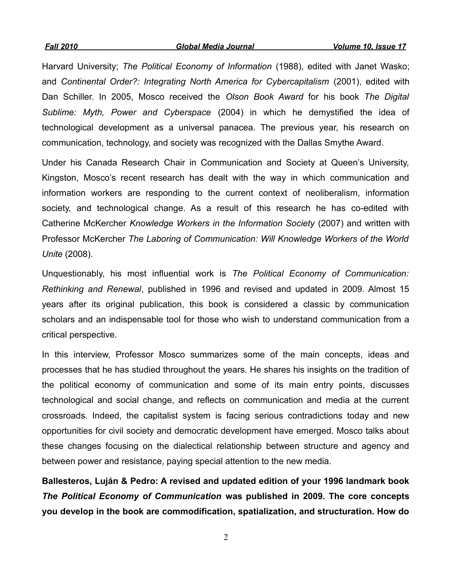Harvard University; *The Political Economy of Information* (1988), edited with Janet Wasko; and *Continental Order?: Integrating North America for Cybercapitalism* (2001), edited with Dan Schiller. In 2005, Mosco received the *Olson Book Award* for his book *The Digital Sublime: Myth, Power and Cyberspace* (2004) in which he demystified the idea of technological development as a universal panacea. The previous year, his research on communication, technology, and society was recognized with the Dallas Smythe Award.

Under his Canada Research Chair in Communication and Society at Queen's University, Kingston, Mosco's recent research has dealt with the way in which communication and information workers are responding to the current context of neoliberalism, information society, and technological change. As a result of this research he has co-edited with Catherine McKercher *Knowledge Workers in the Information Society* (2007) and written with Professor McKercher *The Laboring of Communication: Will Knowledge Workers of the World Unite* (2008).

Unquestionably, his most influential work is *The Political Economy of Communication: Rethinking and Renewal*, published in 1996 and revised and updated in 2009. Almost 15 years after its original publication, this book is considered a classic by communication scholars and an indispensable tool for those who wish to understand communication from a critical perspective.

In this interview, Professor Mosco summarizes some of the main concepts, ideas and processes that he has studied throughout the years. He shares his insights on the tradition of the political economy of communication and some of its main entry points, discusses technological and social change, and reflects on communication and media at the current crossroads. Indeed, the capitalist system is facing serious contradictions today and new opportunities for civil society and democratic development have emerged. Mosco talks about these changes focusing on the dialectical relationship between structure and agency and between power and resistance, paying special attention to the new media.

**Ballesteros, Luján & Pedro: A revised and updated edition of your 1996 landmark book** *The Political Economy of Communication* **was published in 2009. The core concepts you develop in the book are commodification, spatialization, and structuration. How do**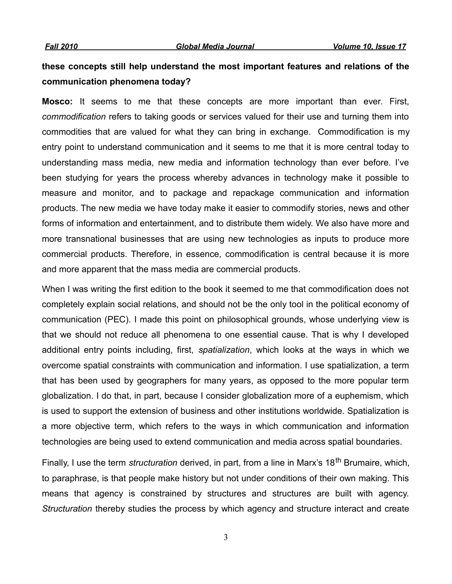## **these concepts still help understand the most important features and relations of the communication phenomena today?**

**Mosco:** It seems to me that these concepts are more important than ever. First, *commodification* refers to taking goods or services valued for their use and turning them into commodities that are valued for what they can bring in exchange. Commodification is my entry point to understand communication and it seems to me that it is more central today to understanding mass media, new media and information technology than ever before. I've been studying for years the process whereby advances in technology make it possible to measure and monitor, and to package and repackage communication and information products. The new media we have today make it easier to commodify stories, news and other forms of information and entertainment, and to distribute them widely. We also have more and more transnational businesses that are using new technologies as inputs to produce more commercial products. Therefore, in essence, commodification is central because it is more and more apparent that the mass media are commercial products.

When I was writing the first edition to the book it seemed to me that commodification does not completely explain social relations, and should not be the only tool in the political economy of communication (PEC). I made this point on philosophical grounds, whose underlying view is that we should not reduce all phenomena to one essential cause. That is why I developed additional entry points including, first, *spatialization*, which looks at the ways in which we overcome spatial constraints with communication and information. I use spatialization, a term that has been used by geographers for many years, as opposed to the more popular term globalization. I do that, in part, because I consider globalization more of a euphemism, which is used to support the extension of business and other institutions worldwide. Spatialization is a more objective term, which refers to the ways in which communication and information technologies are being used to extend communication and media across spatial boundaries.

Finally, I use the term *structuration* derived, in part, from a line in Marx's 18th Brumaire, which, to paraphrase, is that people make history but not under conditions of their own making. This means that agency is constrained by structures and structures are built with agency. *Structuration* thereby studies the process by which agency and structure interact and create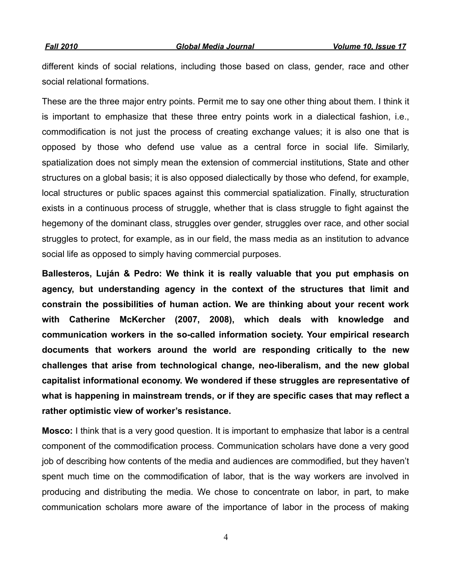different kinds of social relations, including those based on class, gender, race and other social relational formations.

These are the three major entry points. Permit me to say one other thing about them. I think it is important to emphasize that these three entry points work in a dialectical fashion, i.e., commodification is not just the process of creating exchange values; it is also one that is opposed by those who defend use value as a central force in social life. Similarly, spatialization does not simply mean the extension of commercial institutions, State and other structures on a global basis; it is also opposed dialectically by those who defend, for example, local structures or public spaces against this commercial spatialization. Finally, structuration exists in a continuous process of struggle, whether that is class struggle to fight against the hegemony of the dominant class, struggles over gender, struggles over race, and other social struggles to protect, for example, as in our field, the mass media as an institution to advance social life as opposed to simply having commercial purposes.

**Ballesteros, Luján & Pedro: We think it is really valuable that you put emphasis on agency, but understanding agency in the context of the structures that limit and constrain the possibilities of human action. We are thinking about your recent work with Catherine McKercher (2007, 2008), which deals with knowledge and communication workers in the so-called information society. Your empirical research documents that workers around the world are responding critically to the new challenges that arise from technological change, neo-liberalism, and the new global capitalist informational economy. We wondered if these struggles are representative of what is happening in mainstream trends, or if they are specific cases that may reflect a rather optimistic view of worker's resistance.**

**Mosco:** I think that is a very good question. It is important to emphasize that labor is a central component of the commodification process. Communication scholars have done a very good job of describing how contents of the media and audiences are commodified, but they haven't spent much time on the commodification of labor, that is the way workers are involved in producing and distributing the media. We chose to concentrate on labor, in part, to make communication scholars more aware of the importance of labor in the process of making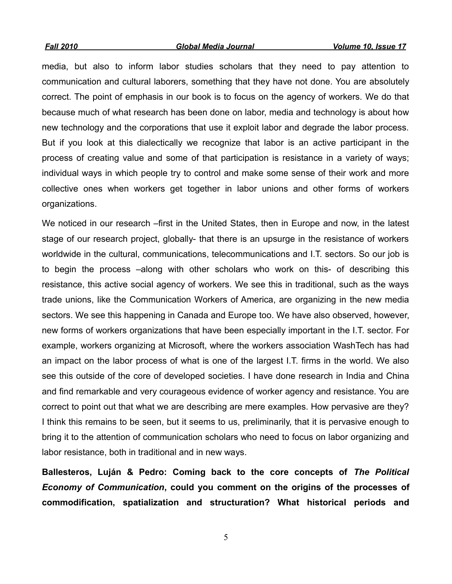media, but also to inform labor studies scholars that they need to pay attention to communication and cultural laborers, something that they have not done. You are absolutely correct. The point of emphasis in our book is to focus on the agency of workers. We do that because much of what research has been done on labor, media and technology is about how new technology and the corporations that use it exploit labor and degrade the labor process. But if you look at this dialectically we recognize that labor is an active participant in the process of creating value and some of that participation is resistance in a variety of ways; individual ways in which people try to control and make some sense of their work and more collective ones when workers get together in labor unions and other forms of workers organizations.

We noticed in our research –first in the United States, then in Europe and now, in the latest stage of our research project, globally- that there is an upsurge in the resistance of workers worldwide in the cultural, communications, telecommunications and I.T. sectors. So our job is to begin the process –along with other scholars who work on this- of describing this resistance, this active social agency of workers. We see this in traditional, such as the ways trade unions, like the Communication Workers of America, are organizing in the new media sectors. We see this happening in Canada and Europe too. We have also observed, however, new forms of workers organizations that have been especially important in the I.T. sector. For example, workers organizing at Microsoft, where the workers association WashTech has had an impact on the labor process of what is one of the largest I.T. firms in the world. We also see this outside of the core of developed societies. I have done research in India and China and find remarkable and very courageous evidence of worker agency and resistance. You are correct to point out that what we are describing are mere examples. How pervasive are they? I think this remains to be seen, but it seems to us, preliminarily, that it is pervasive enough to bring it to the attention of communication scholars who need to focus on labor organizing and labor resistance, both in traditional and in new ways.

**Ballesteros, Luján & Pedro: Coming back to the core concepts of** *The Political Economy of Communication***, could you comment on the origins of the processes of commodification, spatialization and structuration? What historical periods and**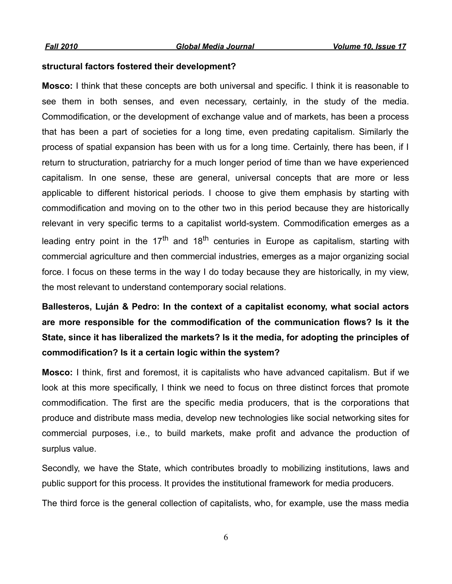#### **structural factors fostered their development?**

**Mosco:** I think that these concepts are both universal and specific. I think it is reasonable to see them in both senses, and even necessary, certainly, in the study of the media. Commodification, or the development of exchange value and of markets, has been a process that has been a part of societies for a long time, even predating capitalism. Similarly the process of spatial expansion has been with us for a long time. Certainly, there has been, if I return to structuration, patriarchy for a much longer period of time than we have experienced capitalism. In one sense, these are general, universal concepts that are more or less applicable to different historical periods. I choose to give them emphasis by starting with commodification and moving on to the other two in this period because they are historically relevant in very specific terms to a capitalist world-system. Commodification emerges as a leading entry point in the  $17<sup>th</sup>$  and  $18<sup>th</sup>$  centuries in Europe as capitalism, starting with commercial agriculture and then commercial industries, emerges as a major organizing social force. I focus on these terms in the way I do today because they are historically, in my view, the most relevant to understand contemporary social relations.

## **Ballesteros, Luján & Pedro: In the context of a capitalist economy, what social actors are more responsible for the commodification of the communication flows? Is it the State, since it has liberalized the markets? Is it the media, for adopting the principles of commodification? Is it a certain logic within the system?**

**Mosco:** I think, first and foremost, it is capitalists who have advanced capitalism. But if we look at this more specifically, I think we need to focus on three distinct forces that promote commodification. The first are the specific media producers, that is the corporations that produce and distribute mass media, develop new technologies like social networking sites for commercial purposes, i.e., to build markets, make profit and advance the production of surplus value.

Secondly, we have the State, which contributes broadly to mobilizing institutions, laws and public support for this process. It provides the institutional framework for media producers.

The third force is the general collection of capitalists, who, for example, use the mass media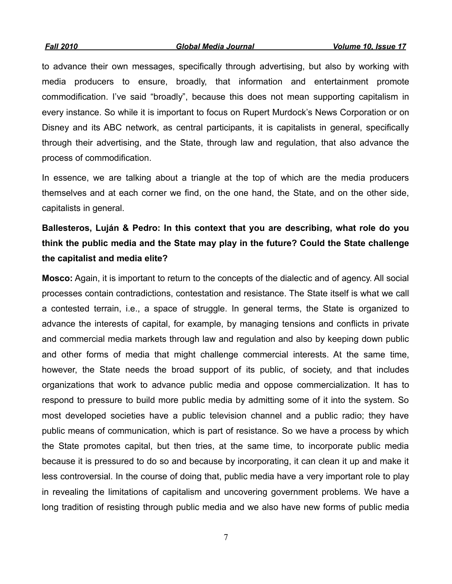*Fall 2010 Global Media Journal Volume 10, Issue 17*

to advance their own messages, specifically through advertising, but also by working with media producers to ensure, broadly, that information and entertainment promote commodification. I've said "broadly", because this does not mean supporting capitalism in every instance. So while it is important to focus on Rupert Murdock's News Corporation or on Disney and its ABC network, as central participants, it is capitalists in general, specifically through their advertising, and the State, through law and regulation, that also advance the process of commodification.

In essence, we are talking about a triangle at the top of which are the media producers themselves and at each corner we find, on the one hand, the State, and on the other side, capitalists in general.

## **Ballesteros, Luján & Pedro: In this context that you are describing, what role do you think the public media and the State may play in the future? Could the State challenge the capitalist and media elite?**

**Mosco:** Again, it is important to return to the concepts of the dialectic and of agency. All social processes contain contradictions, contestation and resistance. The State itself is what we call a contested terrain, i.e., a space of struggle. In general terms, the State is organized to advance the interests of capital, for example, by managing tensions and conflicts in private and commercial media markets through law and regulation and also by keeping down public and other forms of media that might challenge commercial interests. At the same time, however, the State needs the broad support of its public, of society, and that includes organizations that work to advance public media and oppose commercialization. It has to respond to pressure to build more public media by admitting some of it into the system. So most developed societies have a public television channel and a public radio; they have public means of communication, which is part of resistance. So we have a process by which the State promotes capital, but then tries, at the same time, to incorporate public media because it is pressured to do so and because by incorporating, it can clean it up and make it less controversial. In the course of doing that, public media have a very important role to play in revealing the limitations of capitalism and uncovering government problems. We have a long tradition of resisting through public media and we also have new forms of public media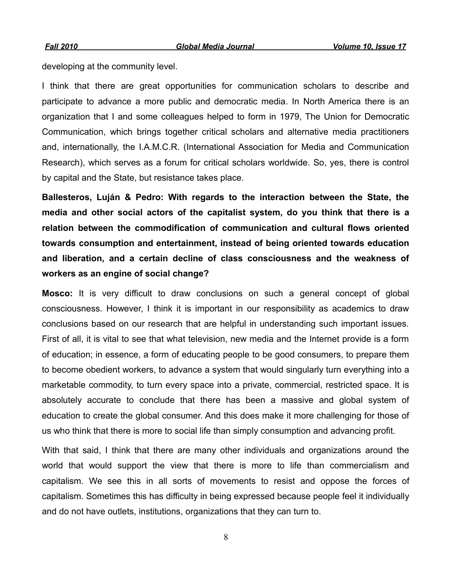developing at the community level.

I think that there are great opportunities for communication scholars to describe and participate to advance a more public and democratic media. In North America there is an organization that I and some colleagues helped to form in 1979, The Union for Democratic Communication, which brings together critical scholars and alternative media practitioners and, internationally, the I.A.M.C.R. (International Association for Media and Communication Research), which serves as a forum for critical scholars worldwide. So, yes, there is control by capital and the State, but resistance takes place.

**Ballesteros, Luján & Pedro: With regards to the interaction between the State, the media and other social actors of the capitalist system, do you think that there is a relation between the commodification of communication and cultural flows oriented towards consumption and entertainment, instead of being oriented towards education and liberation, and a certain decline of class consciousness and the weakness of workers as an engine of social change?**

**Mosco:** It is very difficult to draw conclusions on such a general concept of global consciousness. However, I think it is important in our responsibility as academics to draw conclusions based on our research that are helpful in understanding such important issues. First of all, it is vital to see that what television, new media and the Internet provide is a form of education; in essence, a form of educating people to be good consumers, to prepare them to become obedient workers, to advance a system that would singularly turn everything into a marketable commodity, to turn every space into a private, commercial, restricted space. It is absolutely accurate to conclude that there has been a massive and global system of education to create the global consumer. And this does make it more challenging for those of us who think that there is more to social life than simply consumption and advancing profit.

With that said, I think that there are many other individuals and organizations around the world that would support the view that there is more to life than commercialism and capitalism. We see this in all sorts of movements to resist and oppose the forces of capitalism. Sometimes this has difficulty in being expressed because people feel it individually and do not have outlets, institutions, organizations that they can turn to.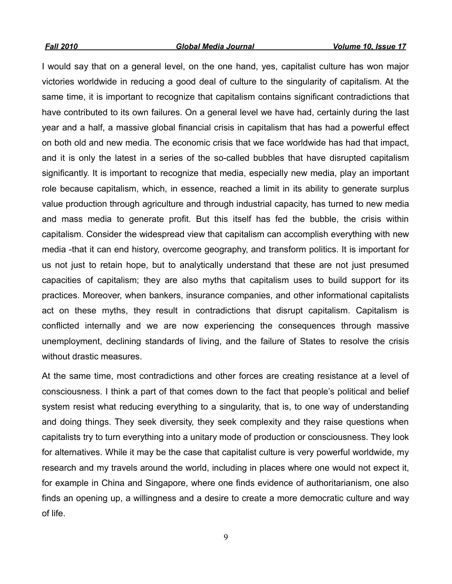I would say that on a general level, on the one hand, yes, capitalist culture has won major victories worldwide in reducing a good deal of culture to the singularity of capitalism. At the same time, it is important to recognize that capitalism contains significant contradictions that have contributed to its own failures. On a general level we have had, certainly during the last year and a half, a massive global financial crisis in capitalism that has had a powerful effect on both old and new media. The economic crisis that we face worldwide has had that impact, and it is only the latest in a series of the so-called bubbles that have disrupted capitalism significantly. It is important to recognize that media, especially new media, play an important role because capitalism, which, in essence, reached a limit in its ability to generate surplus value production through agriculture and through industrial capacity, has turned to new media and mass media to generate profit. But this itself has fed the bubble, the crisis within capitalism. Consider the widespread view that capitalism can accomplish everything with new media -that it can end history, overcome geography, and transform politics. It is important for us not just to retain hope, but to analytically understand that these are not just presumed capacities of capitalism; they are also myths that capitalism uses to build support for its practices. Moreover, when bankers, insurance companies, and other informational capitalists act on these myths, they result in contradictions that disrupt capitalism. Capitalism is conflicted internally and we are now experiencing the consequences through massive unemployment, declining standards of living, and the failure of States to resolve the crisis without drastic measures.

At the same time, most contradictions and other forces are creating resistance at a level of consciousness. I think a part of that comes down to the fact that people's political and belief system resist what reducing everything to a singularity, that is, to one way of understanding and doing things. They seek diversity, they seek complexity and they raise questions when capitalists try to turn everything into a unitary mode of production or consciousness. They look for alternatives. While it may be the case that capitalist culture is very powerful worldwide, my research and my travels around the world, including in places where one would not expect it, for example in China and Singapore, where one finds evidence of authoritarianism, one also finds an opening up, a willingness and a desire to create a more democratic culture and way of life.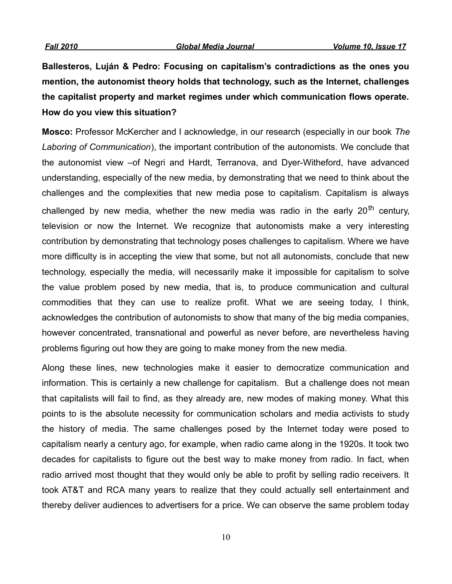**Ballesteros, Luján & Pedro: Focusing on capitalism's contradictions as the ones you mention, the autonomist theory holds that technology, such as the Internet, challenges the capitalist property and market regimes under which communication flows operate. How do you view this situation?** 

**Mosco:** Professor McKercher and I acknowledge, in our research (especially in our book *The Laboring of Communication*), the important contribution of the autonomists. We conclude that the autonomist view –of Negri and Hardt, Terranova, and Dyer-Witheford, have advanced understanding, especially of the new media, by demonstrating that we need to think about the challenges and the complexities that new media pose to capitalism. Capitalism is always challenged by new media, whether the new media was radio in the early  $20<sup>th</sup>$  century, television or now the Internet. We recognize that autonomists make a very interesting contribution by demonstrating that technology poses challenges to capitalism. Where we have more difficulty is in accepting the view that some, but not all autonomists, conclude that new technology, especially the media, will necessarily make it impossible for capitalism to solve the value problem posed by new media, that is, to produce communication and cultural commodities that they can use to realize profit. What we are seeing today, I think, acknowledges the contribution of autonomists to show that many of the big media companies, however concentrated, transnational and powerful as never before, are nevertheless having problems figuring out how they are going to make money from the new media.

Along these lines, new technologies make it easier to democratize communication and information. This is certainly a new challenge for capitalism. But a challenge does not mean that capitalists will fail to find, as they already are, new modes of making money. What this points to is the absolute necessity for communication scholars and media activists to study the history of media. The same challenges posed by the Internet today were posed to capitalism nearly a century ago, for example, when radio came along in the 1920s. It took two decades for capitalists to figure out the best way to make money from radio. In fact, when radio arrived most thought that they would only be able to profit by selling radio receivers. It took AT&T and RCA many years to realize that they could actually sell entertainment and thereby deliver audiences to advertisers for a price. We can observe the same problem today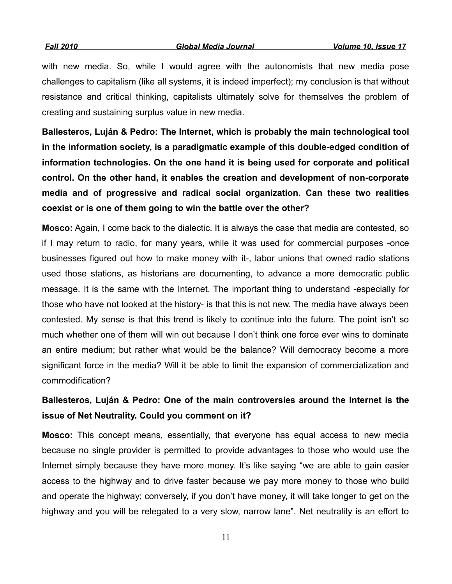with new media. So, while I would agree with the autonomists that new media pose challenges to capitalism (like all systems, it is indeed imperfect); my conclusion is that without resistance and critical thinking, capitalists ultimately solve for themselves the problem of creating and sustaining surplus value in new media.

**Ballesteros, Luján & Pedro: The Internet, which is probably the main technological tool in the information society, is a paradigmatic example of this double-edged condition of information technologies. On the one hand it is being used for corporate and political control. On the other hand, it enables the creation and development of non-corporate media and of progressive and radical social organization. Can these two realities coexist or is one of them going to win the battle over the other?** 

**Mosco:** Again, I come back to the dialectic. It is always the case that media are contested, so if I may return to radio, for many years, while it was used for commercial purposes -once businesses figured out how to make money with it-, labor unions that owned radio stations used those stations, as historians are documenting, to advance a more democratic public message. It is the same with the Internet. The important thing to understand -especially for those who have not looked at the history- is that this is not new. The media have always been contested. My sense is that this trend is likely to continue into the future. The point isn't so much whether one of them will win out because I don't think one force ever wins to dominate an entire medium; but rather what would be the balance? Will democracy become a more significant force in the media? Will it be able to limit the expansion of commercialization and commodification?

## **Ballesteros, Luján & Pedro: One of the main controversies around the Internet is the issue of Net Neutrality. Could you comment on it?**

**Mosco:** This concept means, essentially, that everyone has equal access to new media because no single provider is permitted to provide advantages to those who would use the Internet simply because they have more money. It's like saying "we are able to gain easier access to the highway and to drive faster because we pay more money to those who build and operate the highway; conversely, if you don't have money, it will take longer to get on the highway and you will be relegated to a very slow, narrow lane". Net neutrality is an effort to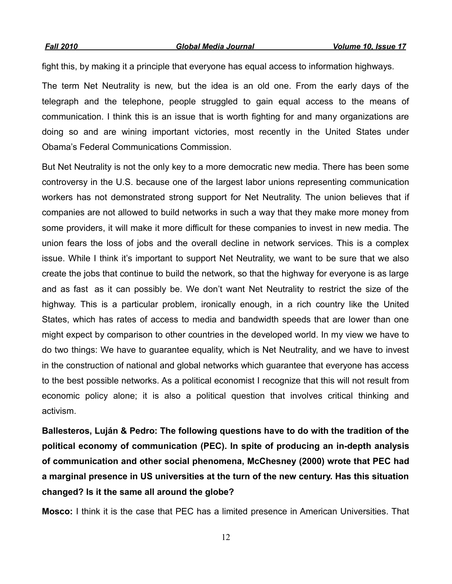fight this, by making it a principle that everyone has equal access to information highways.

The term Net Neutrality is new, but the idea is an old one. From the early days of the telegraph and the telephone, people struggled to gain equal access to the means of communication. I think this is an issue that is worth fighting for and many organizations are doing so and are wining important victories, most recently in the United States under Obama's Federal Communications Commission.

But Net Neutrality is not the only key to a more democratic new media. There has been some controversy in the U.S. because one of the largest labor unions representing communication workers has not demonstrated strong support for Net Neutrality. The union believes that if companies are not allowed to build networks in such a way that they make more money from some providers, it will make it more difficult for these companies to invest in new media. The union fears the loss of jobs and the overall decline in network services. This is a complex issue. While I think it's important to support Net Neutrality, we want to be sure that we also create the jobs that continue to build the network, so that the highway for everyone is as large and as fast as it can possibly be. We don't want Net Neutrality to restrict the size of the highway. This is a particular problem, ironically enough, in a rich country like the United States, which has rates of access to media and bandwidth speeds that are lower than one might expect by comparison to other countries in the developed world. In my view we have to do two things: We have to guarantee equality, which is Net Neutrality, and we have to invest in the construction of national and global networks which guarantee that everyone has access to the best possible networks. As a political economist I recognize that this will not result from economic policy alone; it is also a political question that involves critical thinking and activism.

**Ballesteros, Luján & Pedro: The following questions have to do with the tradition of the political economy of communication (PEC). In spite of producing an in-depth analysis of communication and other social phenomena, McChesney (2000) wrote that PEC had a marginal presence in US universities at the turn of the new century. Has this situation changed? Is it the same all around the globe?**

**Mosco:** I think it is the case that PEC has a limited presence in American Universities. That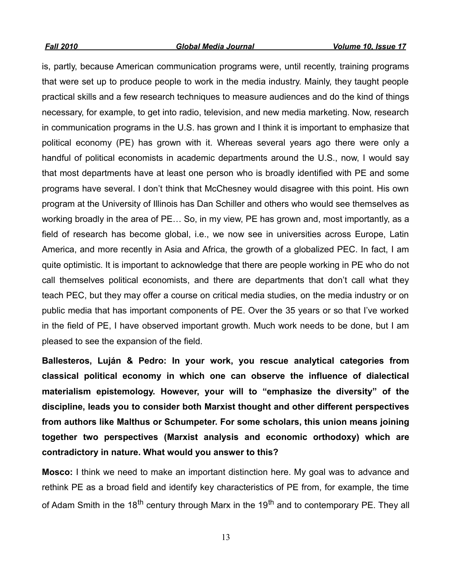is, partly, because American communication programs were, until recently, training programs that were set up to produce people to work in the media industry. Mainly, they taught people practical skills and a few research techniques to measure audiences and do the kind of things necessary, for example, to get into radio, television, and new media marketing. Now, research in communication programs in the U.S. has grown and I think it is important to emphasize that political economy (PE) has grown with it. Whereas several years ago there were only a handful of political economists in academic departments around the U.S., now, I would say that most departments have at least one person who is broadly identified with PE and some programs have several. I don't think that McChesney would disagree with this point. His own program at the University of Illinois has Dan Schiller and others who would see themselves as working broadly in the area of PE… So, in my view, PE has grown and, most importantly, as a field of research has become global, i.e., we now see in universities across Europe, Latin America, and more recently in Asia and Africa, the growth of a globalized PEC. In fact, I am quite optimistic. It is important to acknowledge that there are people working in PE who do not call themselves political economists, and there are departments that don't call what they teach PEC, but they may offer a course on critical media studies, on the media industry or on public media that has important components of PE. Over the 35 years or so that I've worked in the field of PE, I have observed important growth. Much work needs to be done, but I am pleased to see the expansion of the field.

**Ballesteros, Luján & Pedro: In your work, you rescue analytical categories from classical political economy in which one can observe the influence of dialectical materialism epistemology. However, your will to "emphasize the diversity" of the discipline, leads you to consider both Marxist thought and other different perspectives from authors like Malthus or Schumpeter. For some scholars, this union means joining together two perspectives (Marxist analysis and economic orthodoxy) which are contradictory in nature. What would you answer to this?**

**Mosco:** I think we need to make an important distinction here. My goal was to advance and rethink PE as a broad field and identify key characteristics of PE from, for example, the time of Adam Smith in the 18<sup>th</sup> century through Marx in the 19<sup>th</sup> and to contemporary PE. They all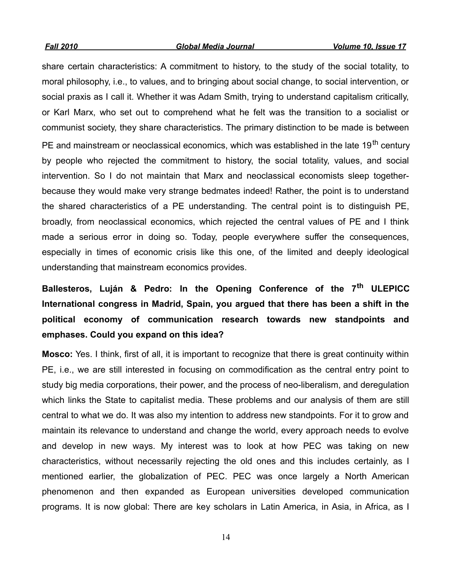share certain characteristics: A commitment to history, to the study of the social totality, to moral philosophy, i.e., to values, and to bringing about social change, to social intervention, or social praxis as I call it. Whether it was Adam Smith, trying to understand capitalism critically, or Karl Marx, who set out to comprehend what he felt was the transition to a socialist or communist society, they share characteristics. The primary distinction to be made is between PE and mainstream or neoclassical economics, which was established in the late 19<sup>th</sup> centurv by people who rejected the commitment to history, the social totality, values, and social intervention. So I do not maintain that Marx and neoclassical economists sleep togetherbecause they would make very strange bedmates indeed! Rather, the point is to understand the shared characteristics of a PE understanding. The central point is to distinguish PE, broadly, from neoclassical economics, which rejected the central values of PE and I think made a serious error in doing so. Today, people everywhere suffer the consequences, especially in times of economic crisis like this one, of the limited and deeply ideological understanding that mainstream economics provides.

## **Ballesteros, Luján & Pedro: In the Opening Conference of the 7th ULEPICC International congress in Madrid, Spain, you argued that there has been a shift in the political economy of communication research towards new standpoints and emphases. Could you expand on this idea?**

**Mosco:** Yes. I think, first of all, it is important to recognize that there is great continuity within PE, i.e., we are still interested in focusing on commodification as the central entry point to study big media corporations, their power, and the process of neo-liberalism, and deregulation which links the State to capitalist media. These problems and our analysis of them are still central to what we do. It was also my intention to address new standpoints. For it to grow and maintain its relevance to understand and change the world, every approach needs to evolve and develop in new ways. My interest was to look at how PEC was taking on new characteristics, without necessarily rejecting the old ones and this includes certainly, as I mentioned earlier, the globalization of PEC. PEC was once largely a North American phenomenon and then expanded as European universities developed communication programs. It is now global: There are key scholars in Latin America, in Asia, in Africa, as I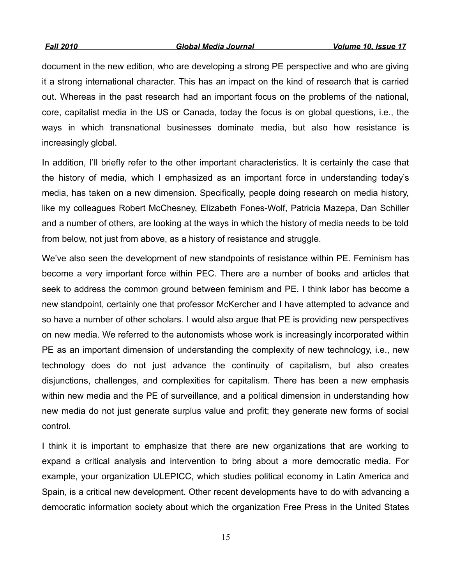*Fall 2010 Global Media Journal Volume 10, Issue 17*

document in the new edition, who are developing a strong PE perspective and who are giving it a strong international character. This has an impact on the kind of research that is carried out. Whereas in the past research had an important focus on the problems of the national, core, capitalist media in the US or Canada, today the focus is on global questions, i.e., the ways in which transnational businesses dominate media, but also how resistance is increasingly global.

In addition, I'll briefly refer to the other important characteristics. It is certainly the case that the history of media, which I emphasized as an important force in understanding today's media, has taken on a new dimension. Specifically, people doing research on media history, like my colleagues Robert McChesney, Elizabeth Fones-Wolf, Patricia Mazepa, Dan Schiller and a number of others, are looking at the ways in which the history of media needs to be told from below, not just from above, as a history of resistance and struggle.

We've also seen the development of new standpoints of resistance within PE. Feminism has become a very important force within PEC. There are a number of books and articles that seek to address the common ground between feminism and PE. I think labor has become a new standpoint, certainly one that professor McKercher and I have attempted to advance and so have a number of other scholars. I would also argue that PE is providing new perspectives on new media. We referred to the autonomists whose work is increasingly incorporated within PE as an important dimension of understanding the complexity of new technology, i.e., new technology does do not just advance the continuity of capitalism, but also creates disjunctions, challenges, and complexities for capitalism. There has been a new emphasis within new media and the PE of surveillance, and a political dimension in understanding how new media do not just generate surplus value and profit; they generate new forms of social control.

I think it is important to emphasize that there are new organizations that are working to expand a critical analysis and intervention to bring about a more democratic media. For example, your organization ULEPICC, which studies political economy in Latin America and Spain, is a critical new development. Other recent developments have to do with advancing a democratic information society about which the organization Free Press in the United States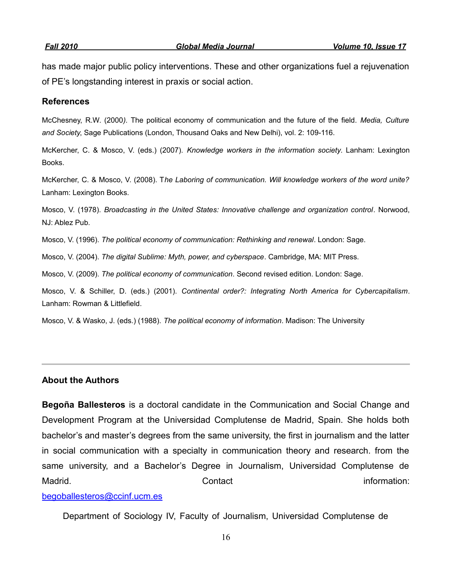has made major public policy interventions. These and other organizations fuel a rejuvenation of PE's longstanding interest in praxis or social action.

#### **References**

McChesney, R.W. (2000*).* The political economy of communication and the future of the field. *Media, Culture and Society*, Sage Publications (London, Thousand Oaks and New Delhi), vol. 2: 109-116.

McKercher, C. & Mosco, V. (eds.) (2007). *Knowledge workers in the information society*. Lanham: Lexington Books.

McKercher, C. & Mosco, V. (2008). T*he Laboring of communication. Will knowledge workers of the word unite?* Lanham: Lexington Books.

Mosco, V. (1978). *Broadcasting in the United States: Innovative challenge and organization control*. Norwood, NJ: Ablez Pub.

Mosco, V. (1996). *The political economy of communication: Rethinking and renewal*. London: Sage.

Mosco, V. (2004). *The digital Sublime: Myth, power, and cyberspace*. Cambridge, MA: MIT Press.

Mosco, V. (2009). *The political economy of communication*. Second revised edition. London: Sage.

Mosco, V. & Schiller, D. (eds.) (2001). *Continental order?: Integrating North America for Cybercapitalism*. Lanham: Rowman & Littlefield.

Mosco, V. & Wasko, J. (eds.) (1988). *The political economy of information*. Madison: The University

#### **About the Authors**

**Begoña Ballesteros** is a doctoral candidate in the Communication and Social Change and Development Program at the Universidad Complutense de Madrid, Spain. She holds both bachelor's and master's degrees from the same university, the first in journalism and the latter in social communication with a specialty in communication theory and research. from the same university, and a Bachelor's Degree in Journalism, Universidad Complutense de Madrid. The contact contact the contact contact information:

#### [begoballesteros@ccinf.ucm.es](mailto:begoballesteros@ccinf.ucm.es)

Department of Sociology IV, Faculty of Journalism, Universidad Complutense de